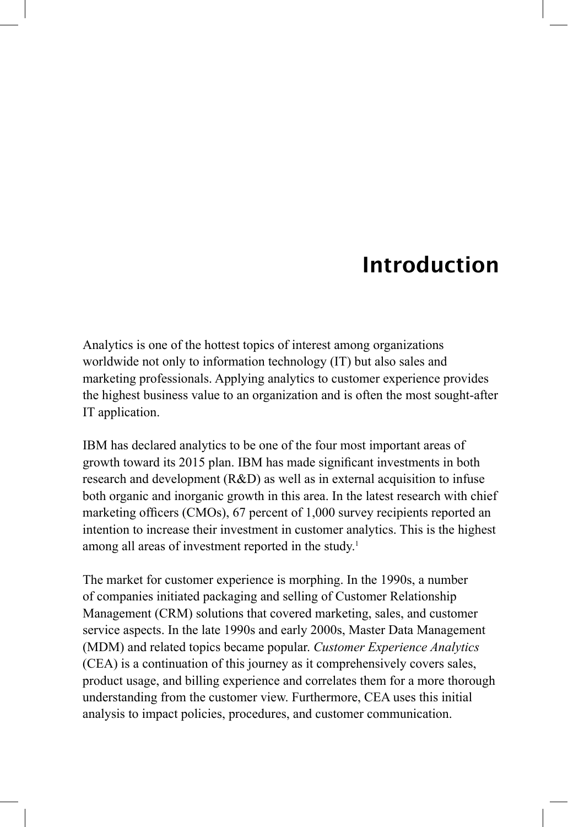# Introduction

Analytics is one of the hottest topics of interest among organizations worldwide not only to information technology (IT) but also sales and marketing professionals. Applying analytics to customer experience provides the highest business value to an organization and is often the most sought-after IT application.

IBM has declared analytics to be one of the four most important areas of growth toward its 2015 plan. IBM has made significant investments in both research and development (R&D) as well as in external acquisition to infuse both organic and inorganic growth in this area. In the latest research with chief marketing officers (CMOs), 67 percent of 1,000 survey recipients reported an intention to increase their investment in customer analytics. This is the highest among all areas of investment reported in the study.<sup>1</sup>

The market for customer experience is morphing. In the 1990s, a number of companies initiated packaging and selling of Customer Relationship Management (CRM) solutions that covered marketing, sales, and customer service aspects. In the late 1990s and early 2000s, Master Data Management (MDM) and related topics became popular. *Customer Experience Analytics* (CEA) is a continuation of this journey as it comprehensively covers sales, product usage, and billing experience and correlates them for a more thorough understanding from the customer view. Furthermore, CEA uses this initial analysis to impact policies, procedures, and customer communication.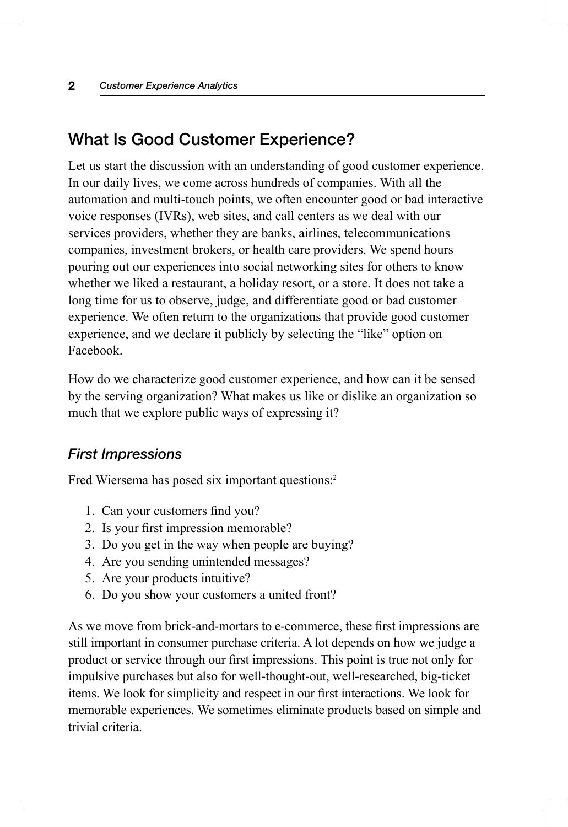## **What Is Good Customer Experience?**

Let us start the discussion with an understanding of good customer experience. In our daily lives, we come across hundreds of companies. With all the automation and multi-touch points, we often encounter good or bad interactive voice responses (IVRs), web sites, and call centers as we deal with our services providers, whether they are banks, airlines, telecommunications companies, investment brokers, or health care providers. We spend hours pouring out our experiences into social networking sites for others to know whether we liked a restaurant, a holiday resort, or a store. It does not take a long time for us to observe, judge, and differentiate good or bad customer experience. We often return to the organizations that provide good customer experience, and we declare it publicly by selecting the "like" option on Facebook.

How do we characterize good customer experience, and how can it be sensed by the serving organization? What makes us like or dislike an organization so much that we explore public ways of expressing it?

### *First Impressions*

Fred Wiersema has posed six important questions:<sup>2</sup>

- 1. Can your customers find you?
- 2. Is your first impression memorable?
- 3. Do you get in the way when people are buying?
- 4. Are you sending unintended messages?
- 5. Are your products intuitive?
- 6. Do you show your customers a united front?

As we move from brick-and-mortars to e-commerce, these first impressions are still important in consumer purchase criteria. A lot depends on how we judge a product or service through our first impressions. This point is true not only for impulsive purchases but also for well-thought-out, well-researched, big-ticket items. We look for simplicity and respect in our first interactions. We look for memorable experiences. We sometimes eliminate products based on simple and trivial criteria.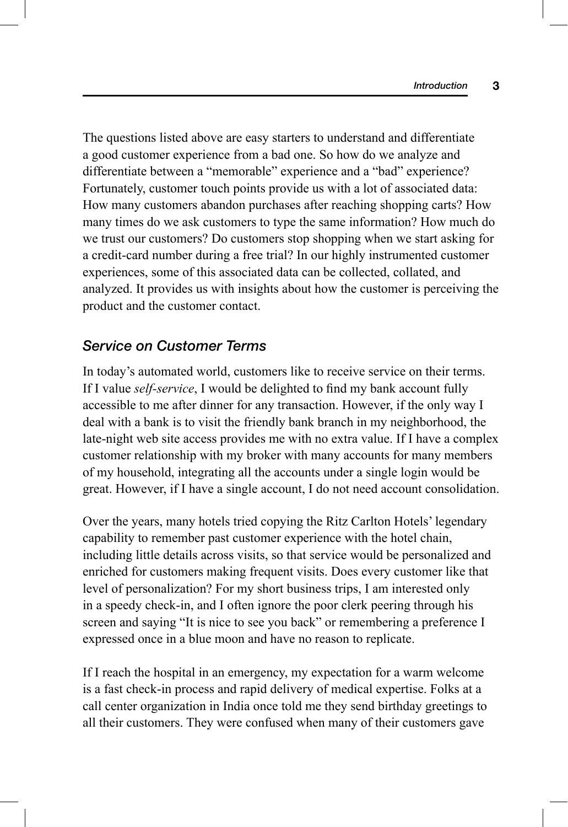The questions listed above are easy starters to understand and differentiate a good customer experience from a bad one. So how do we analyze and differentiate between a "memorable" experience and a "bad" experience? Fortunately, customer touch points provide us with a lot of associated data: How many customers abandon purchases after reaching shopping carts? How many times do we ask customers to type the same information? How much do we trust our customers? Do customers stop shopping when we start asking for a credit-card number during a free trial? In our highly instrumented customer experiences, some of this associated data can be collected, collated, and analyzed. It provides us with insights about how the customer is perceiving the product and the customer contact.

### *Service on Customer Terms*

In today's automated world, customers like to receive service on their terms. If I value *self-service*, I would be delighted to find my bank account fully accessible to me after dinner for any transaction. However, if the only way I deal with a bank is to visit the friendly bank branch in my neighborhood, the late-night web site access provides me with no extra value. If I have a complex customer relationship with my broker with many accounts for many members of my household, integrating all the accounts under a single login would be great. However, if I have a single account, I do not need account consolidation.

Over the years, many hotels tried copying the Ritz Carlton Hotels' legendary capability to remember past customer experience with the hotel chain, including little details across visits, so that service would be personalized and enriched for customers making frequent visits. Does every customer like that level of personalization? For my short business trips, I am interested only in a speedy check-in, and I often ignore the poor clerk peering through his screen and saying "It is nice to see you back" or remembering a preference I expressed once in a blue moon and have no reason to replicate.

If I reach the hospital in an emergency, my expectation for a warm welcome is a fast check-in process and rapid delivery of medical expertise. Folks at a call center organization in India once told me they send birthday greetings to all their customers. They were confused when many of their customers gave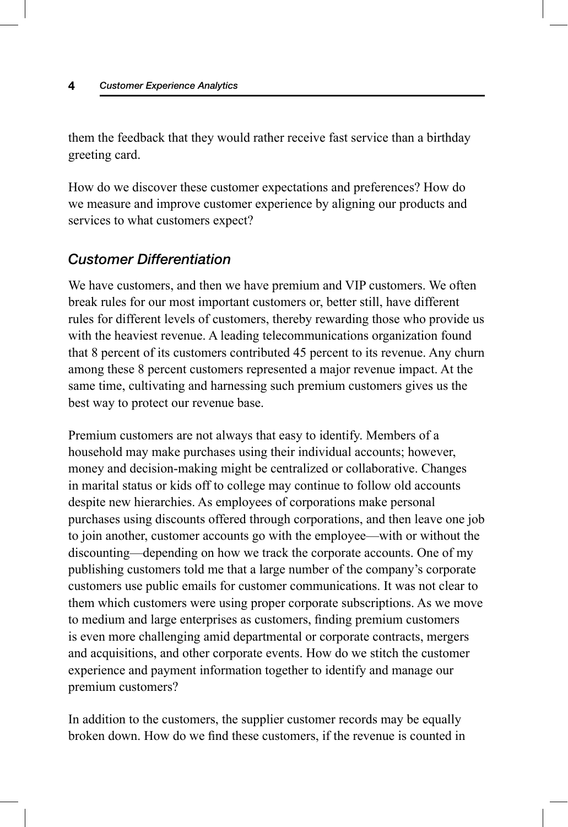#### **4** *Customer Experience Analytics*

them the feedback that they would rather receive fast service than a birthday greeting card.

How do we discover these customer expectations and preferences? How do we measure and improve customer experience by aligning our products and services to what customers expect?

### *Customer Differentiation*

We have customers, and then we have premium and VIP customers. We often break rules for our most important customers or, better still, have different rules for different levels of customers, thereby rewarding those who provide us with the heaviest revenue. A leading telecommunications organization found that 8 percent of its customers contributed 45 percent to its revenue. Any churn among these 8 percent customers represented a major revenue impact. At the same time, cultivating and harnessing such premium customers gives us the best way to protect our revenue base.

Premium customers are not always that easy to identify. Members of a household may make purchases using their individual accounts; however, money and decision-making might be centralized or collaborative. Changes in marital status or kids off to college may continue to follow old accounts despite new hierarchies. As employees of corporations make personal purchases using discounts offered through corporations, and then leave one job to join another, customer accounts go with the employee—with or without the discounting—depending on how we track the corporate accounts. One of my publishing customers told me that a large number of the company's corporate customers use public emails for customer communications. It was not clear to them which customers were using proper corporate subscriptions. As we move to medium and large enterprises as customers, finding premium customers is even more challenging amid departmental or corporate contracts, mergers and acquisitions, and other corporate events. How do we stitch the customer experience and payment information together to identify and manage our premium customers?

In addition to the customers, the supplier customer records may be equally broken down. How do we find these customers, if the revenue is counted in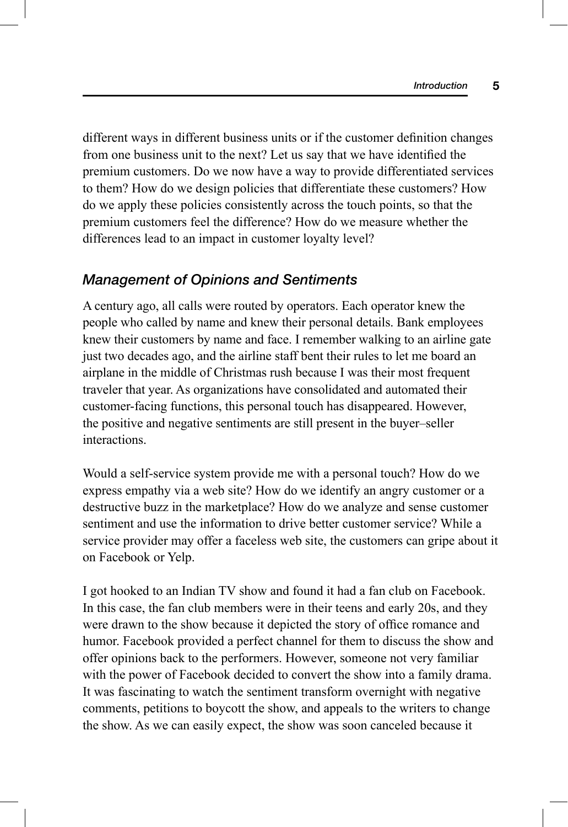different ways in different business units or if the customer definition changes from one business unit to the next? Let us say that we have identified the premium customers. Do we now have a way to provide differentiated services to them? How do we design policies that differentiate these customers? How do we apply these policies consistently across the touch points, so that the premium customers feel the difference? How do we measure whether the differences lead to an impact in customer loyalty level?

### *Management of Opinions and Sentiments*

A century ago, all calls were routed by operators. Each operator knew the people who called by name and knew their personal details. Bank employees knew their customers by name and face. I remember walking to an airline gate just two decades ago, and the airline staff bent their rules to let me board an airplane in the middle of Christmas rush because I was their most frequent traveler that year. As organizations have consolidated and automated their customer-facing functions, this personal touch has disappeared. However, the positive and negative sentiments are still present in the buyer–seller interactions.

Would a self-service system provide me with a personal touch? How do we express empathy via a web site? How do we identify an angry customer or a destructive buzz in the marketplace? How do we analyze and sense customer sentiment and use the information to drive better customer service? While a service provider may offer a faceless web site, the customers can gripe about it on Facebook or Yelp.

I got hooked to an Indian TV show and found it had a fan club on Facebook. In this case, the fan club members were in their teens and early 20s, and they were drawn to the show because it depicted the story of office romance and humor. Facebook provided a perfect channel for them to discuss the show and offer opinions back to the performers. However, someone not very familiar with the power of Facebook decided to convert the show into a family drama. It was fascinating to watch the sentiment transform overnight with negative comments, petitions to boycott the show, and appeals to the writers to change the show. As we can easily expect, the show was soon canceled because it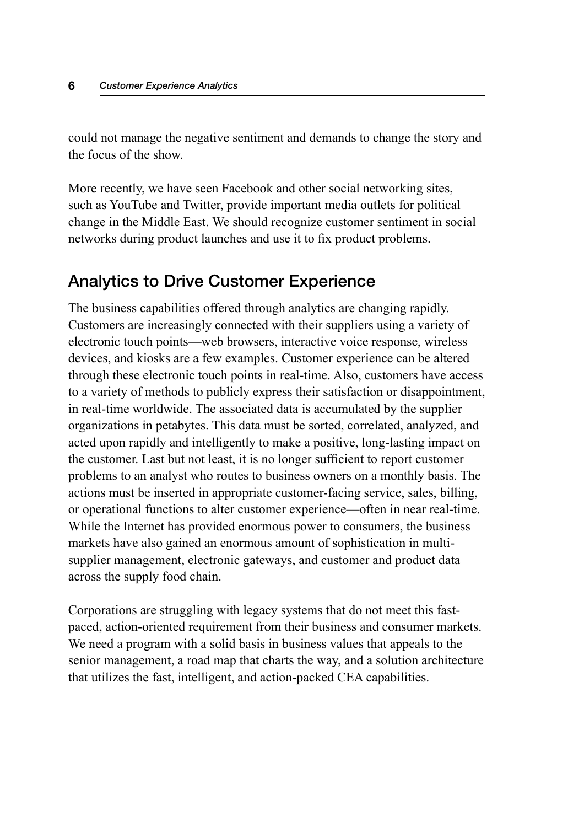#### **6** *Customer Experience Analytics*

could not manage the negative sentiment and demands to change the story and the focus of the show.

More recently, we have seen Facebook and other social networking sites, such as YouTube and Twitter, provide important media outlets for political change in the Middle East. We should recognize customer sentiment in social networks during product launches and use it to fix product problems.

## **Analytics to Drive Customer Experience**

The business capabilities offered through analytics are changing rapidly. Customers are increasingly connected with their suppliers using a variety of electronic touch points—web browsers, interactive voice response, wireless devices, and kiosks are a few examples. Customer experience can be altered through these electronic touch points in real-time. Also, customers have access to a variety of methods to publicly express their satisfaction or disappointment, in real-time worldwide. The associated data is accumulated by the supplier organizations in petabytes. This data must be sorted, correlated, analyzed, and acted upon rapidly and intelligently to make a positive, long-lasting impact on the customer. Last but not least, it is no longer sufficient to report customer problems to an analyst who routes to business owners on a monthly basis. The actions must be inserted in appropriate customer-facing service, sales, billing, or operational functions to alter customer experience—often in near real-time. While the Internet has provided enormous power to consumers, the business markets have also gained an enormous amount of sophistication in multisupplier management, electronic gateways, and customer and product data across the supply food chain.

Corporations are struggling with legacy systems that do not meet this fastpaced, action-oriented requirement from their business and consumer markets. We need a program with a solid basis in business values that appeals to the senior management, a road map that charts the way, and a solution architecture that utilizes the fast, intelligent, and action-packed CEA capabilities.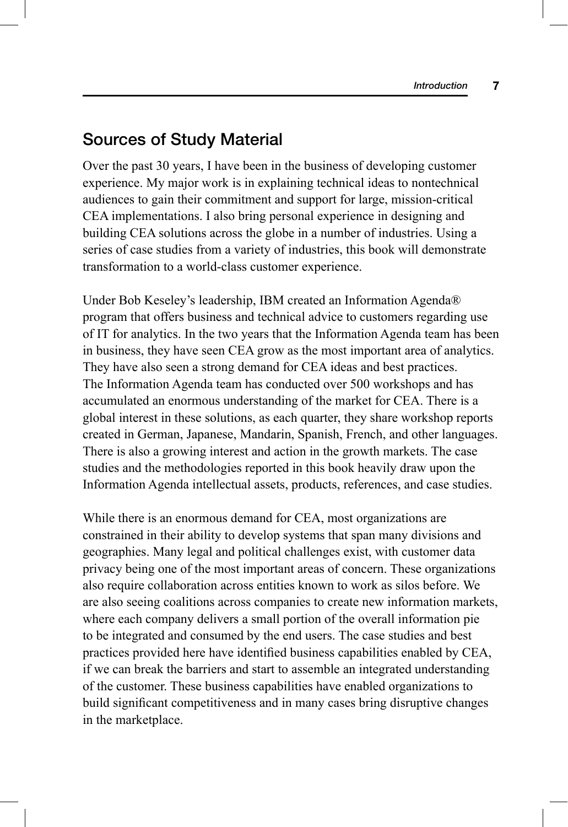### **Sources of Study Material**

Over the past 30 years, I have been in the business of developing customer experience. My major work is in explaining technical ideas to nontechnical audiences to gain their commitment and support for large, mission-critical CEA implementations. I also bring personal experience in designing and building CEA solutions across the globe in a number of industries. Using a series of case studies from a variety of industries, this book will demonstrate transformation to a world-class customer experience.

Under Bob Keseley's leadership, IBM created an Information Agenda® program that offers business and technical advice to customers regarding use of IT for analytics. In the two years that the Information Agenda team has been in business, they have seen CEA grow as the most important area of analytics. They have also seen a strong demand for CEA ideas and best practices. The Information Agenda team has conducted over 500 workshops and has accumulated an enormous understanding of the market for CEA. There is a global interest in these solutions, as each quarter, they share workshop reports created in German, Japanese, Mandarin, Spanish, French, and other languages. There is also a growing interest and action in the growth markets. The case studies and the methodologies reported in this book heavily draw upon the Information Agenda intellectual assets, products, references, and case studies.

While there is an enormous demand for CEA, most organizations are constrained in their ability to develop systems that span many divisions and geographies. Many legal and political challenges exist, with customer data privacy being one of the most important areas of concern. These organizations also require collaboration across entities known to work as silos before. We are also seeing coalitions across companies to create new information markets, where each company delivers a small portion of the overall information pie to be integrated and consumed by the end users. The case studies and best practices provided here have identified business capabilities enabled by CEA, if we can break the barriers and start to assemble an integrated understanding of the customer. These business capabilities have enabled organizations to build significant competitiveness and in many cases bring disruptive changes in the marketplace.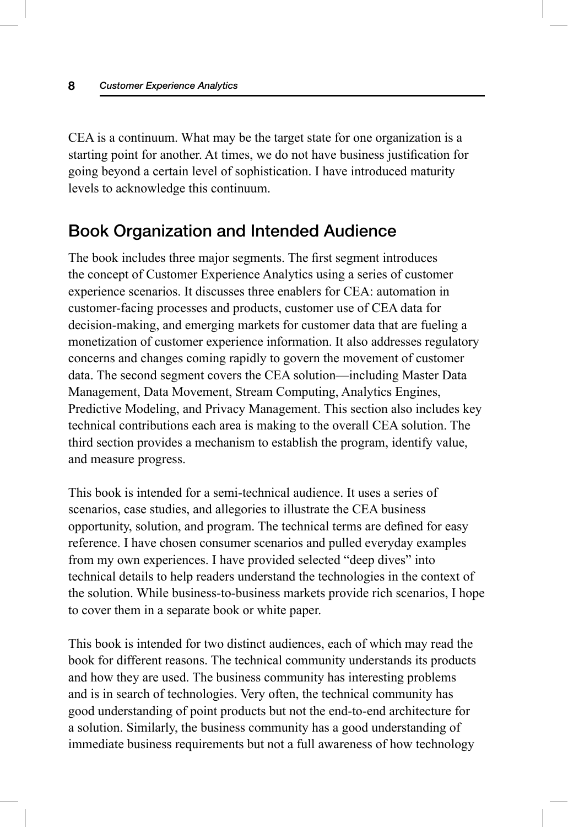CEA is a continuum. What may be the target state for one organization is a starting point for another. At times, we do not have business justification for going beyond a certain level of sophistication. I have introduced maturity levels to acknowledge this continuum.

### **Book Organization and Intended Audience**

The book includes three major segments. The first segment introduces the concept of Customer Experience Analytics using a series of customer experience scenarios. It discusses three enablers for CEA: automation in customer-facing processes and products, customer use of CEA data for decision-making, and emerging markets for customer data that are fueling a monetization of customer experience information. It also addresses regulatory concerns and changes coming rapidly to govern the movement of customer data. The second segment covers the CEA solution—including Master Data Management, Data Movement, Stream Computing, Analytics Engines, Predictive Modeling, and Privacy Management. This section also includes key technical contributions each area is making to the overall CEA solution. The third section provides a mechanism to establish the program, identify value, and measure progress.

This book is intended for a semi-technical audience. It uses a series of scenarios, case studies, and allegories to illustrate the CEA business opportunity, solution, and program. The technical terms are defined for easy reference. I have chosen consumer scenarios and pulled everyday examples from my own experiences. I have provided selected "deep dives" into technical details to help readers understand the technologies in the context of the solution. While business-to-business markets provide rich scenarios, I hope to cover them in a separate book or white paper.

This book is intended for two distinct audiences, each of which may read the book for different reasons. The technical community understands its products and how they are used. The business community has interesting problems and is in search of technologies. Very often, the technical community has good understanding of point products but not the end-to-end architecture for a solution. Similarly, the business community has a good understanding of immediate business requirements but not a full awareness of how technology